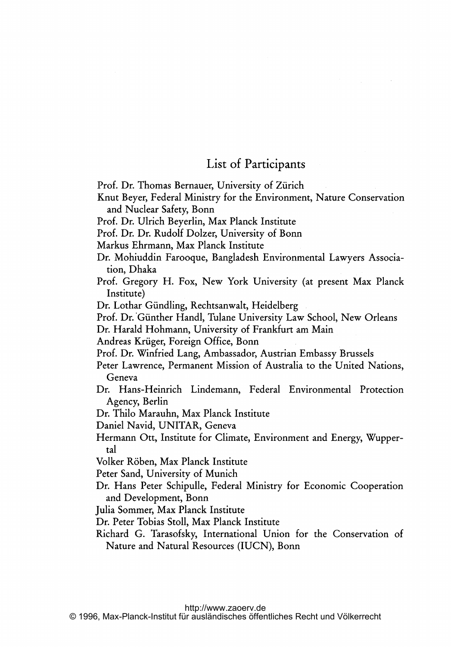## List of Participants

Prof. Dr. Thomas Bernauer, University of Zürich

Knut Beyer, Federal Ministry for the Environment, Nature Conservation and Nuclear Safety, Bonn

Prof. Dr. Ulrich Beyerlin, Max Planck Institute

Prof. Dr. Dr. Rudolf Dolzer, University of Bonn

Markus Ehrmann, Max Planck Institute

Dr. Mohiuddin Farooque, Bangladesh Environmental Lawyers Association, Dhaka

Prof. Gregory H. Fox, New York University (at present Max Planck Institute)

Dr. Lothar Giindling, Rechtsanwalt, Heidelberg

Prof. Dr.'Giinther Handl, Tulane University Law School, New Orleans

Dr. Harald Hohmann, University of Frankfurt am Main

Andreas Krüger, Foreign Office, Bonn

Prof. Dr. Winfried Lang, Ambassador, Austrian Embassy Brussels

Peter Lawrence, Permanent Mission of Australia to the United Nations, Geneva

Dr. Hans-Heinrich Lindemann, Federal Environmental Protection Agency, Berlin

Dr. Thilo Marauhn, Max Planck Institute

Daniel Navid, UNITAR, Geneva

Hermann Ott, Institute for Climate, Environment and Energy, Wuppertal

Volker R6ben, Max Planck Institute

Peter Sand, University of Munich

Dr. Hans Peter Schipulle, Federal Ministry for Economic Cooperation and Development, Bonn

Julia Sommer, Max Planck Institute

Dr. Peter Tobias Stoll, Max Planck Institute

Richard G. Tarasofsky, International Union for the Conservation of Nature and Natural Resources (IUCN), Bonn